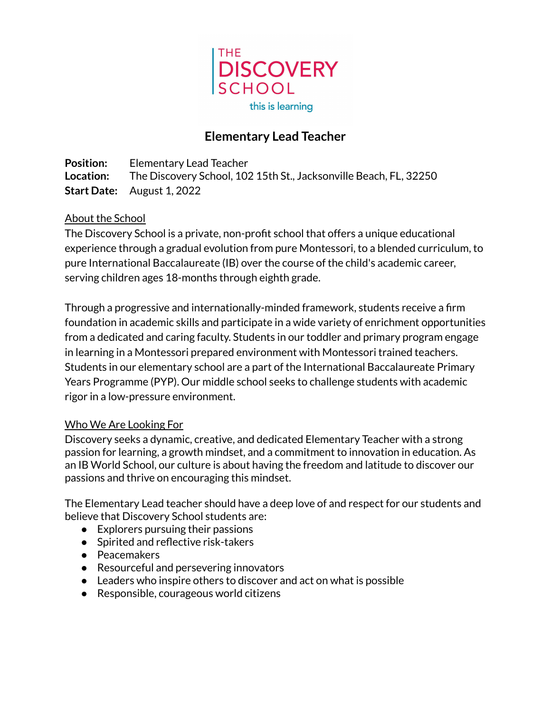

# **Elementary Lead Teacher**

**Position:** Elementary Lead Teacher **Location:** The Discovery School, 102 15th St., Jacksonville Beach, FL, 32250 **Start Date:** August 1, 2022

## About the School

The Discovery School is a private, non-profit school that offers a unique educational experience through a gradual evolution from pure Montessori, to a blended curriculum, to pure International Baccalaureate (IB) over the course of the child's academic career, serving children ages 18-months through eighth grade.

Through a progressive and internationally-minded framework, students receive a firm foundation in academic skills and participate in a wide variety of enrichment opportunities from a dedicated and caring faculty. Students in our toddler and primary program engage in learning in a Montessori prepared environment with Montessori trained teachers. Students in our elementary school are a part of the International Baccalaureate Primary Years Programme (PYP). Our middle school seeks to challenge students with academic rigor in a low-pressure environment.

### Who We Are Looking For

Discovery seeks a dynamic, creative, and dedicated Elementary Teacher with a strong passion for learning, a growth mindset, and a commitment to innovation in education. As an IB World School, our culture is about having the freedom and latitude to discover our passions and thrive on encouraging this mindset.

The Elementary Lead teacher should have a deep love of and respect for our students and believe that Discovery School students are:

- Explorers pursuing their passions
- Spirited and reflective risk-takers
- Peacemakers
- Resourceful and persevering innovators
- Leaders who inspire others to discover and act on what is possible
- Responsible, courageous world citizens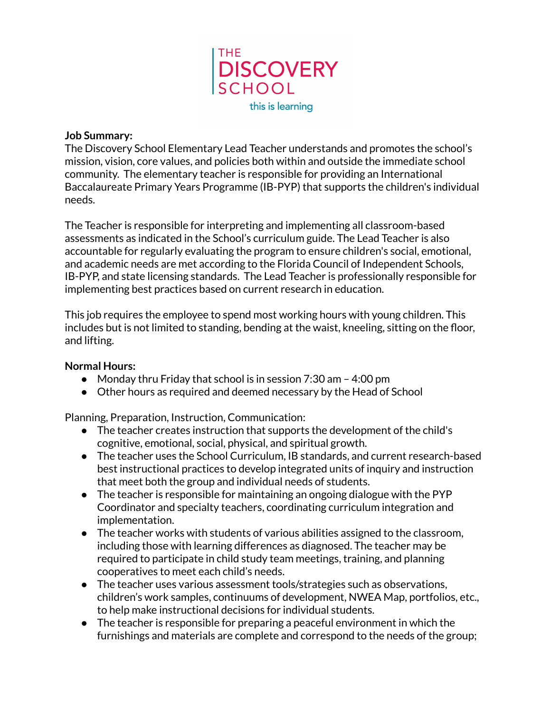

#### **Job Summary:**

The Discovery School Elementary Lead Teacher understands and promotes the school's mission, vision, core values, and policies both within and outside the immediate school community. The elementary teacher is responsible for providing an International Baccalaureate Primary Years Programme (IB-PYP) that supports the children's individual needs.

The Teacher is responsible for interpreting and implementing all classroom-based assessments as indicated in the School's curriculum guide. The Lead Teacher is also accountable for regularly evaluating the program to ensure children's social, emotional, and academic needs are met according to the Florida Council of Independent Schools, IB-PYP, and state licensing standards. The Lead Teacher is professionally responsible for implementing best practices based on current research in education.

This job requires the employee to spend most working hours with young children. This includes but is not limited to standing, bending at the waist, kneeling, sitting on the floor, and lifting.

#### **Normal Hours:**

- Monday thru Friday that school is in session 7:30 am 4:00 pm
- Other hours as required and deemed necessary by the Head of School

Planning, Preparation, Instruction, Communication:

- The teacher creates instruction that supports the development of the child's cognitive, emotional, social, physical, and spiritual growth.
- The teacher uses the School Curriculum, IB standards, and current research-based best instructional practices to develop integrated units of inquiry and instruction that meet both the group and individual needs of students.
- The teacher is responsible for maintaining an ongoing dialogue with the PYP Coordinator and specialty teachers, coordinating curriculum integration and implementation.
- The teacher works with students of various abilities assigned to the classroom, including those with learning differences as diagnosed. The teacher may be required to participate in child study team meetings, training, and planning cooperatives to meet each child's needs.
- The teacher uses various assessment tools/strategies such as observations, children's work samples, continuums of development, NWEA Map, portfolios, etc., to help make instructional decisions for individual students.
- The teacher is responsible for preparing a peaceful environment in which the furnishings and materials are complete and correspond to the needs of the group;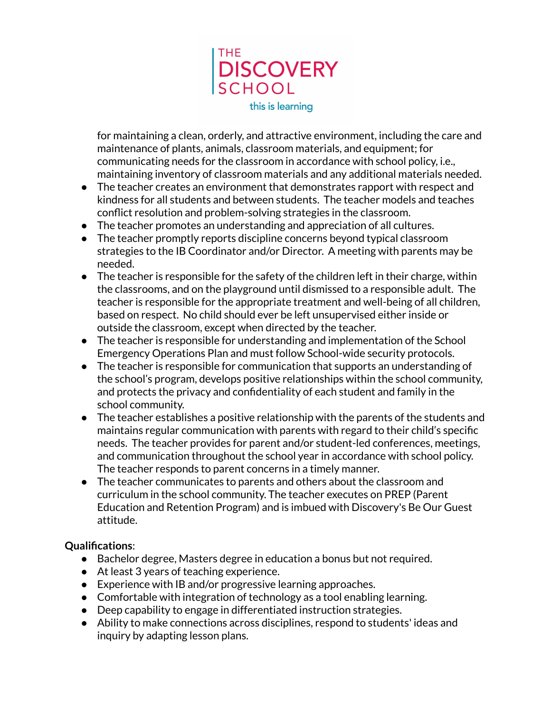

for maintaining a clean, orderly, and attractive environment, including the care and maintenance of plants, animals, classroom materials, and equipment; for communicating needs for the classroom in accordance with school policy, i.e., maintaining inventory of classroom materials and any additional materials needed.

- The teacher creates an environment that demonstrates rapport with respect and kindness for all students and between students. The teacher models and teaches conflict resolution and problem-solving strategies in the classroom.
- The teacher promotes an understanding and appreciation of all cultures.
- The teacher promptly reports discipline concerns beyond typical classroom strategies to the IB Coordinator and/or Director. A meeting with parents may be needed.
- The teacher is responsible for the safety of the children left in their charge, within the classrooms, and on the playground until dismissed to a responsible adult. The teacher is responsible for the appropriate treatment and well-being of all children, based on respect. No child should ever be left unsupervised either inside or outside the classroom, except when directed by the teacher.
- The teacher is responsible for understanding and implementation of the School Emergency Operations Plan and must follow School-wide security protocols.
- The teacher is responsible for communication that supports an understanding of the school's program, develops positive relationships within the school community, and protects the privacy and confidentiality of each student and family in the school community.
- The teacher establishes a positive relationship with the parents of the students and maintains regular communication with parents with regard to their child's specific needs. The teacher provides for parent and/or student-led conferences, meetings, and communication throughout the school year in accordance with school policy. The teacher responds to parent concerns in a timely manner.
- The teacher communicates to parents and others about the classroom and curriculum in the school community. The teacher executes on PREP (Parent Education and Retention Program) and is imbued with Discovery's Be Our Guest attitude.

## **Qualifications**:

- Bachelor degree, Masters degree in education a bonus but not required.
- At least 3 years of teaching experience.
- Experience with IB and/or progressive learning approaches.
- $\bullet$  Comfortable with integration of technology as a tool enabling learning.
- Deep capability to engage in differentiated instruction strategies.
- Ability to make connections across disciplines, respond to students' ideas and inquiry by adapting lesson plans.